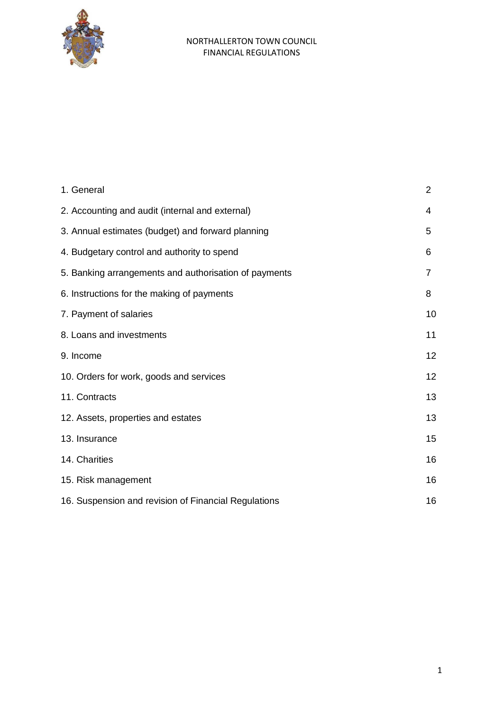

| 1. General                                            | $\overline{2}$ |
|-------------------------------------------------------|----------------|
| 2. Accounting and audit (internal and external)       | 4              |
| 3. Annual estimates (budget) and forward planning     | 5              |
| 4. Budgetary control and authority to spend           | 6              |
| 5. Banking arrangements and authorisation of payments | 7              |
| 6. Instructions for the making of payments            | 8              |
| 7. Payment of salaries                                | 10             |
| 8. Loans and investments                              | 11             |
| 9. Income                                             | 12             |
| 10. Orders for work, goods and services               | 12             |
| 11. Contracts                                         | 13             |
| 12. Assets, properties and estates                    | 13             |
| 13. Insurance                                         | 15             |
| 14. Charities                                         | 16             |
| 15. Risk management                                   | 16             |
| 16. Suspension and revision of Financial Regulations  | 16             |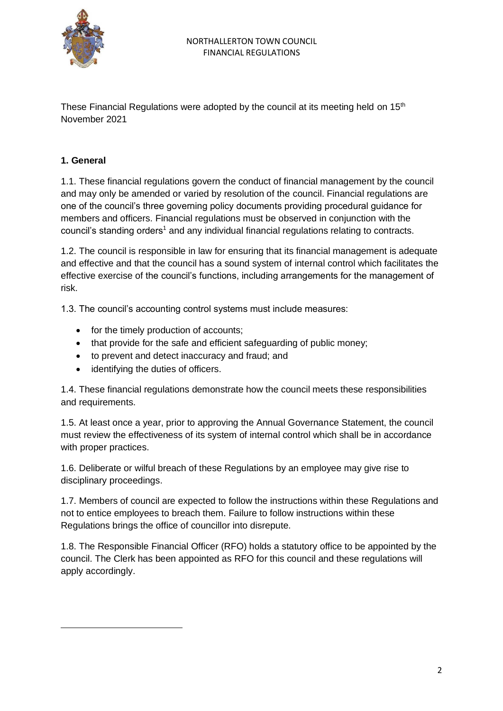

These Financial Regulations were adopted by the council at its meeting held on 15<sup>th</sup> November 2021

### **1. General**

1.1. These financial regulations govern the conduct of financial management by the council and may only be amended or varied by resolution of the council. Financial regulations are one of the council's three governing policy documents providing procedural guidance for members and officers. Financial regulations must be observed in conjunction with the council's standing orders<sup>1</sup> and any individual financial regulations relating to contracts.

1.2. The council is responsible in law for ensuring that its financial management is adequate and effective and that the council has a sound system of internal control which facilitates the effective exercise of the council's functions, including arrangements for the management of risk.

1.3. The council's accounting control systems must include measures:

- for the timely production of accounts;
- that provide for the safe and efficient safeguarding of public money;
- to prevent and detect inaccuracy and fraud; and
- identifying the duties of officers.

1.4. These financial regulations demonstrate how the council meets these responsibilities and requirements.

1.5. At least once a year, prior to approving the Annual Governance Statement, the council must review the effectiveness of its system of internal control which shall be in accordance with proper practices.

1.6. Deliberate or wilful breach of these Regulations by an employee may give rise to disciplinary proceedings.

1.7. Members of council are expected to follow the instructions within these Regulations and not to entice employees to breach them. Failure to follow instructions within these Regulations brings the office of councillor into disrepute.

1.8. The Responsible Financial Officer (RFO) holds a statutory office to be appointed by the council. The Clerk has been appointed as RFO for this council and these regulations will apply accordingly.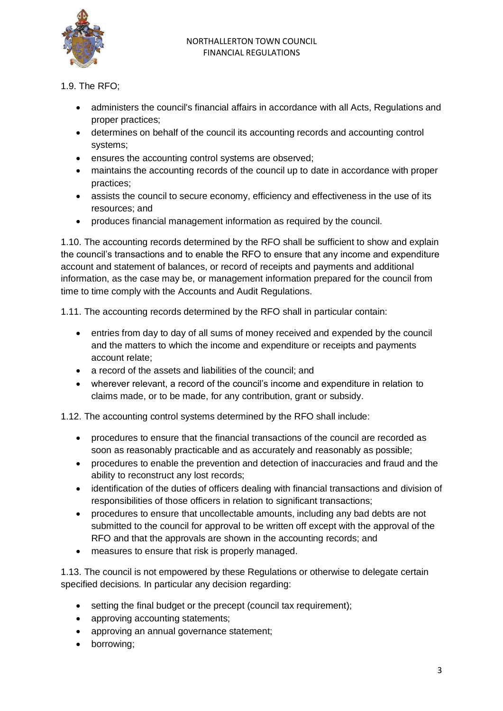

- 1.9. The RFO;
	- administers the council's financial affairs in accordance with all Acts, Regulations and proper practices;
	- determines on behalf of the council its accounting records and accounting control systems;
	- ensures the accounting control systems are observed;
	- maintains the accounting records of the council up to date in accordance with proper practices;
	- assists the council to secure economy, efficiency and effectiveness in the use of its resources; and
	- produces financial management information as required by the council.

1.10. The accounting records determined by the RFO shall be sufficient to show and explain the council's transactions and to enable the RFO to ensure that any income and expenditure account and statement of balances, or record of receipts and payments and additional information, as the case may be, or management information prepared for the council from time to time comply with the Accounts and Audit Regulations.

1.11. The accounting records determined by the RFO shall in particular contain:

- entries from day to day of all sums of money received and expended by the council and the matters to which the income and expenditure or receipts and payments account relate;
- a record of the assets and liabilities of the council; and
- wherever relevant, a record of the council's income and expenditure in relation to claims made, or to be made, for any contribution, grant or subsidy.

1.12. The accounting control systems determined by the RFO shall include:

- procedures to ensure that the financial transactions of the council are recorded as soon as reasonably practicable and as accurately and reasonably as possible;
- procedures to enable the prevention and detection of inaccuracies and fraud and the ability to reconstruct any lost records;
- identification of the duties of officers dealing with financial transactions and division of responsibilities of those officers in relation to significant transactions;
- procedures to ensure that uncollectable amounts, including any bad debts are not submitted to the council for approval to be written off except with the approval of the RFO and that the approvals are shown in the accounting records; and
- measures to ensure that risk is properly managed.

1.13. The council is not empowered by these Regulations or otherwise to delegate certain specified decisions. In particular any decision regarding:

- setting the final budget or the precept (council tax requirement):
- approving accounting statements;
- approving an annual governance statement;
- borrowing;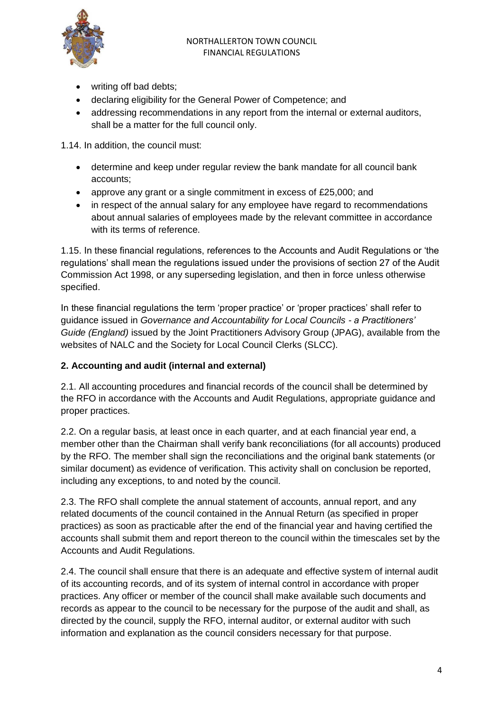

- writing off bad debts;
- declaring eligibility for the General Power of Competence; and
- addressing recommendations in any report from the internal or external auditors, shall be a matter for the full council only.

1.14. In addition, the council must:

- determine and keep under regular review the bank mandate for all council bank accounts;
- approve any grant or a single commitment in excess of £25,000; and
- in respect of the annual salary for any employee have regard to recommendations about annual salaries of employees made by the relevant committee in accordance with its terms of reference.

1.15. In these financial regulations, references to the Accounts and Audit Regulations or 'the regulations' shall mean the regulations issued under the provisions of section 27 of the Audit Commission Act 1998, or any superseding legislation, and then in force unless otherwise specified.

In these financial regulations the term 'proper practice' or 'proper practices' shall refer to guidance issued in *Governance and Accountability for Local Councils - a Practitioners' Guide (England)* issued by the Joint Practitioners Advisory Group (JPAG), available from the websites of NALC and the Society for Local Council Clerks (SLCC).

# **2. Accounting and audit (internal and external)**

2.1. All accounting procedures and financial records of the council shall be determined by the RFO in accordance with the Accounts and Audit Regulations, appropriate guidance and proper practices.

2.2. On a regular basis, at least once in each quarter, and at each financial year end, a member other than the Chairman shall verify bank reconciliations (for all accounts) produced by the RFO. The member shall sign the reconciliations and the original bank statements (or similar document) as evidence of verification. This activity shall on conclusion be reported, including any exceptions, to and noted by the council.

2.3. The RFO shall complete the annual statement of accounts, annual report, and any related documents of the council contained in the Annual Return (as specified in proper practices) as soon as practicable after the end of the financial year and having certified the accounts shall submit them and report thereon to the council within the timescales set by the Accounts and Audit Regulations.

2.4. The council shall ensure that there is an adequate and effective system of internal audit of its accounting records, and of its system of internal control in accordance with proper practices. Any officer or member of the council shall make available such documents and records as appear to the council to be necessary for the purpose of the audit and shall, as directed by the council, supply the RFO, internal auditor, or external auditor with such information and explanation as the council considers necessary for that purpose.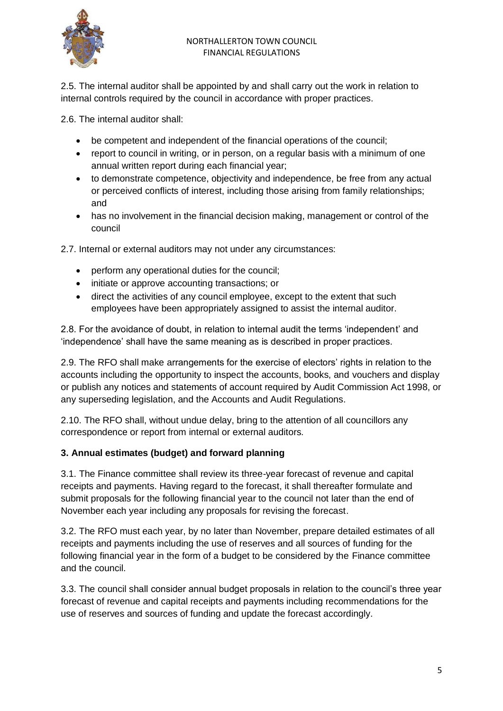

2.5. The internal auditor shall be appointed by and shall carry out the work in relation to internal controls required by the council in accordance with proper practices.

2.6. The internal auditor shall:

- be competent and independent of the financial operations of the council;
- report to council in writing, or in person, on a regular basis with a minimum of one annual written report during each financial year;
- to demonstrate competence, objectivity and independence, be free from any actual or perceived conflicts of interest, including those arising from family relationships; and
- has no involvement in the financial decision making, management or control of the council

2.7. Internal or external auditors may not under any circumstances:

- perform any operational duties for the council;
- initiate or approve accounting transactions; or
- direct the activities of any council employee, except to the extent that such employees have been appropriately assigned to assist the internal auditor.

2.8. For the avoidance of doubt, in relation to internal audit the terms 'independent' and 'independence' shall have the same meaning as is described in proper practices.

2.9. The RFO shall make arrangements for the exercise of electors' rights in relation to the accounts including the opportunity to inspect the accounts, books, and vouchers and display or publish any notices and statements of account required by Audit Commission Act 1998, or any superseding legislation, and the Accounts and Audit Regulations.

2.10. The RFO shall, without undue delay, bring to the attention of all councillors any correspondence or report from internal or external auditors.

#### **3. Annual estimates (budget) and forward planning**

3.1. The Finance committee shall review its three-year forecast of revenue and capital receipts and payments. Having regard to the forecast, it shall thereafter formulate and submit proposals for the following financial year to the council not later than the end of November each year including any proposals for revising the forecast.

3.2. The RFO must each year, by no later than November, prepare detailed estimates of all receipts and payments including the use of reserves and all sources of funding for the following financial year in the form of a budget to be considered by the Finance committee and the council.

3.3. The council shall consider annual budget proposals in relation to the council's three year forecast of revenue and capital receipts and payments including recommendations for the use of reserves and sources of funding and update the forecast accordingly.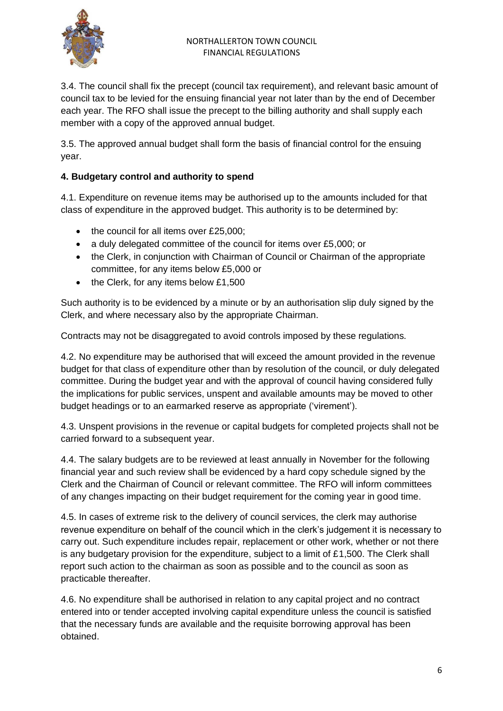

3.4. The council shall fix the precept (council tax requirement), and relevant basic amount of council tax to be levied for the ensuing financial year not later than by the end of December each year. The RFO shall issue the precept to the billing authority and shall supply each member with a copy of the approved annual budget.

3.5. The approved annual budget shall form the basis of financial control for the ensuing year.

# **4. Budgetary control and authority to spend**

4.1. Expenditure on revenue items may be authorised up to the amounts included for that class of expenditure in the approved budget. This authority is to be determined by:

- the council for all items over £25,000;
- a duly delegated committee of the council for items over £5,000; or
- the Clerk, in conjunction with Chairman of Council or Chairman of the appropriate committee, for any items below £5,000 or
- the Clerk, for any items below £1,500

Such authority is to be evidenced by a minute or by an authorisation slip duly signed by the Clerk, and where necessary also by the appropriate Chairman.

Contracts may not be disaggregated to avoid controls imposed by these regulations.

4.2. No expenditure may be authorised that will exceed the amount provided in the revenue budget for that class of expenditure other than by resolution of the council, or duly delegated committee. During the budget year and with the approval of council having considered fully the implications for public services, unspent and available amounts may be moved to other budget headings or to an earmarked reserve as appropriate ('virement').

4.3. Unspent provisions in the revenue or capital budgets for completed projects shall not be carried forward to a subsequent year.

4.4. The salary budgets are to be reviewed at least annually in November for the following financial year and such review shall be evidenced by a hard copy schedule signed by the Clerk and the Chairman of Council or relevant committee. The RFO will inform committees of any changes impacting on their budget requirement for the coming year in good time.

4.5. In cases of extreme risk to the delivery of council services, the clerk may authorise revenue expenditure on behalf of the council which in the clerk's judgement it is necessary to carry out. Such expenditure includes repair, replacement or other work, whether or not there is any budgetary provision for the expenditure, subject to a limit of £1,500. The Clerk shall report such action to the chairman as soon as possible and to the council as soon as practicable thereafter.

4.6. No expenditure shall be authorised in relation to any capital project and no contract entered into or tender accepted involving capital expenditure unless the council is satisfied that the necessary funds are available and the requisite borrowing approval has been obtained.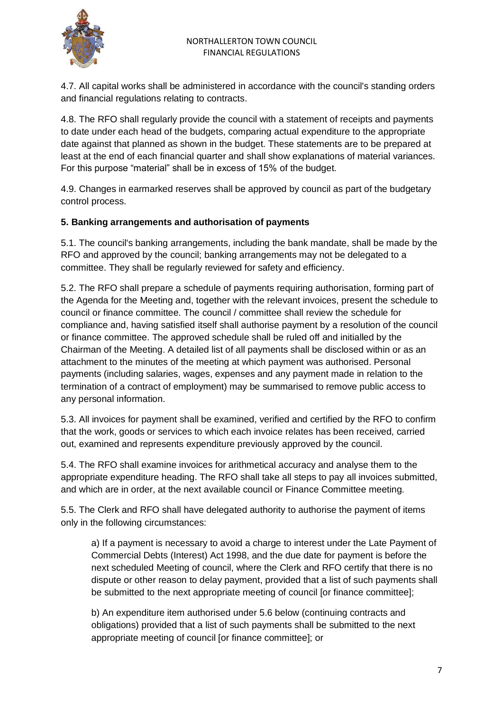

4.7. All capital works shall be administered in accordance with the council's standing orders and financial regulations relating to contracts.

4.8. The RFO shall regularly provide the council with a statement of receipts and payments to date under each head of the budgets, comparing actual expenditure to the appropriate date against that planned as shown in the budget. These statements are to be prepared at least at the end of each financial quarter and shall show explanations of material variances. For this purpose "material" shall be in excess of 15% of the budget.

4.9. Changes in earmarked reserves shall be approved by council as part of the budgetary control process.

#### **5. Banking arrangements and authorisation of payments**

5.1. The council's banking arrangements, including the bank mandate, shall be made by the RFO and approved by the council; banking arrangements may not be delegated to a committee. They shall be regularly reviewed for safety and efficiency.

5.2. The RFO shall prepare a schedule of payments requiring authorisation, forming part of the Agenda for the Meeting and, together with the relevant invoices, present the schedule to council or finance committee. The council / committee shall review the schedule for compliance and, having satisfied itself shall authorise payment by a resolution of the council or finance committee. The approved schedule shall be ruled off and initialled by the Chairman of the Meeting. A detailed list of all payments shall be disclosed within or as an attachment to the minutes of the meeting at which payment was authorised. Personal payments (including salaries, wages, expenses and any payment made in relation to the termination of a contract of employment) may be summarised to remove public access to any personal information.

5.3. All invoices for payment shall be examined, verified and certified by the RFO to confirm that the work, goods or services to which each invoice relates has been received, carried out, examined and represents expenditure previously approved by the council.

5.4. The RFO shall examine invoices for arithmetical accuracy and analyse them to the appropriate expenditure heading. The RFO shall take all steps to pay all invoices submitted, and which are in order, at the next available council or Finance Committee meeting.

5.5. The Clerk and RFO shall have delegated authority to authorise the payment of items only in the following circumstances:

a) If a payment is necessary to avoid a charge to interest under the Late Payment of Commercial Debts (Interest) Act 1998, and the due date for payment is before the next scheduled Meeting of council, where the Clerk and RFO certify that there is no dispute or other reason to delay payment, provided that a list of such payments shall be submitted to the next appropriate meeting of council [or finance committee];

b) An expenditure item authorised under 5.6 below (continuing contracts and obligations) provided that a list of such payments shall be submitted to the next appropriate meeting of council [or finance committee]; or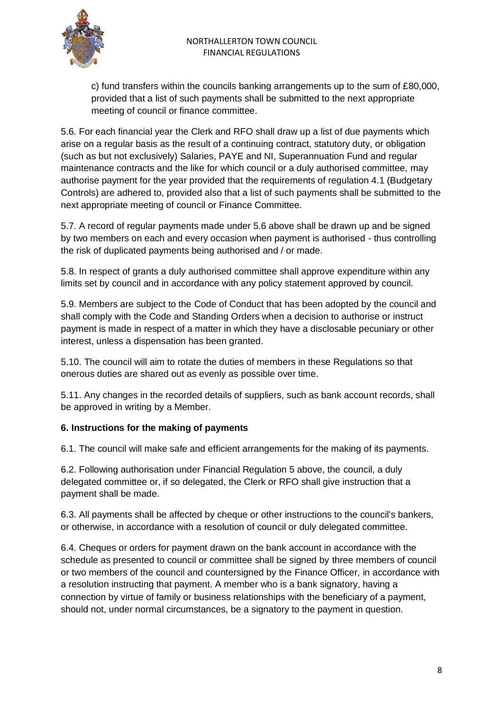

c) fund transfers within the councils banking arrangements up to the sum of £80,000, provided that a list of such payments shall be submitted to the next appropriate meeting of council or finance committee.

5.6. For each financial year the Clerk and RFO shall draw up a list of due payments which arise on a regular basis as the result of a continuing contract, statutory duty, or obligation (such as but not exclusively) Salaries, PAYE and NI, Superannuation Fund and regular maintenance contracts and the like for which council or a duly authorised committee, may authorise payment for the year provided that the requirements of regulation 4.1 (Budgetary Controls) are adhered to, provided also that a list of such payments shall be submitted to the next appropriate meeting of council or Finance Committee.

5.7. A record of regular payments made under 5.6 above shall be drawn up and be signed by two members on each and every occasion when payment is authorised - thus controlling the risk of duplicated payments being authorised and / or made.

5.8. In respect of grants a duly authorised committee shall approve expenditure within any limits set by council and in accordance with any policy statement approved by council.

5.9. Members are subject to the Code of Conduct that has been adopted by the council and shall comply with the Code and Standing Orders when a decision to authorise or instruct payment is made in respect of a matter in which they have a disclosable pecuniary or other interest, unless a dispensation has been granted.

5.10. The council will aim to rotate the duties of members in these Regulations so that onerous duties are shared out as evenly as possible over time.

5.11. Any changes in the recorded details of suppliers, such as bank account records, shall be approved in writing by a Member.

# **6. Instructions for the making of payments**

6.1. The council will make safe and efficient arrangements for the making of its payments.

6.2. Following authorisation under Financial Regulation 5 above, the council, a duly delegated committee or, if so delegated, the Clerk or RFO shall give instruction that a payment shall be made.

6.3. All payments shall be affected by cheque or other instructions to the council's bankers, or otherwise, in accordance with a resolution of council or duly delegated committee.

6.4. Cheques or orders for payment drawn on the bank account in accordance with the schedule as presented to council or committee shall be signed by three members of council or two members of the council and countersigned by the Finance Officer, in accordance with a resolution instructing that payment. A member who is a bank signatory, having a connection by virtue of family or business relationships with the beneficiary of a payment, should not, under normal circumstances, be a signatory to the payment in question.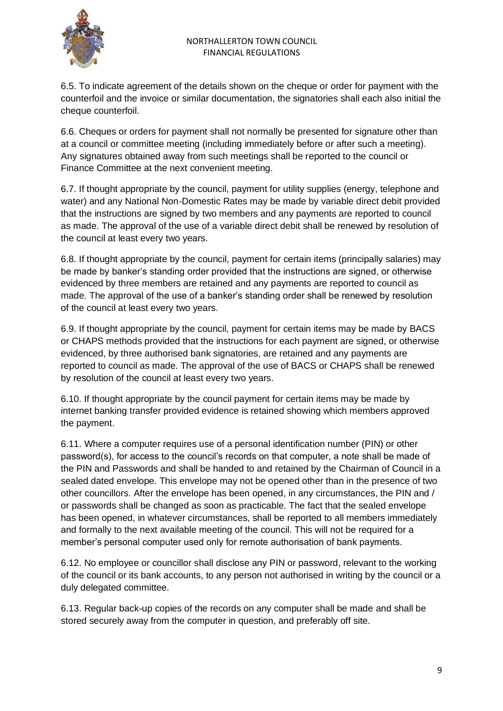

6.5. To indicate agreement of the details shown on the cheque or order for payment with the counterfoil and the invoice or similar documentation, the signatories shall each also initial the cheque counterfoil.

6.6. Cheques or orders for payment shall not normally be presented for signature other than at a council or committee meeting (including immediately before or after such a meeting). Any signatures obtained away from such meetings shall be reported to the council or Finance Committee at the next convenient meeting.

6.7. If thought appropriate by the council, payment for utility supplies (energy, telephone and water) and any National Non-Domestic Rates may be made by variable direct debit provided that the instructions are signed by two members and any payments are reported to council as made. The approval of the use of a variable direct debit shall be renewed by resolution of the council at least every two years.

6.8. If thought appropriate by the council, payment for certain items (principally salaries) may be made by banker's standing order provided that the instructions are signed, or otherwise evidenced by three members are retained and any payments are reported to council as made. The approval of the use of a banker's standing order shall be renewed by resolution of the council at least every two years.

6.9. If thought appropriate by the council, payment for certain items may be made by BACS or CHAPS methods provided that the instructions for each payment are signed, or otherwise evidenced, by three authorised bank signatories, are retained and any payments are reported to council as made. The approval of the use of BACS or CHAPS shall be renewed by resolution of the council at least every two years.

6.10. If thought appropriate by the council payment for certain items may be made by internet banking transfer provided evidence is retained showing which members approved the payment.

6.11. Where a computer requires use of a personal identification number (PIN) or other password(s), for access to the council's records on that computer, a note shall be made of the PIN and Passwords and shall be handed to and retained by the Chairman of Council in a sealed dated envelope. This envelope may not be opened other than in the presence of two other councillors. After the envelope has been opened, in any circumstances, the PIN and / or passwords shall be changed as soon as practicable. The fact that the sealed envelope has been opened, in whatever circumstances, shall be reported to all members immediately and formally to the next available meeting of the council. This will not be required for a member's personal computer used only for remote authorisation of bank payments.

6.12. No employee or councillor shall disclose any PIN or password, relevant to the working of the council or its bank accounts, to any person not authorised in writing by the council or a duly delegated committee.

6.13. Regular back-up copies of the records on any computer shall be made and shall be stored securely away from the computer in question, and preferably off site.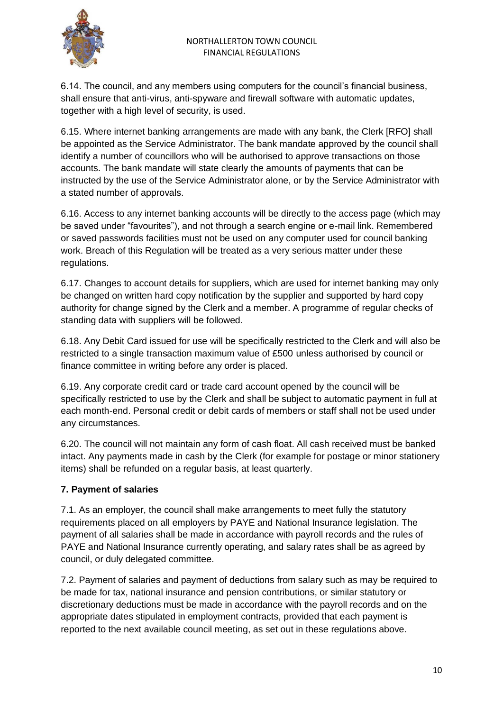

6.14. The council, and any members using computers for the council's financial business, shall ensure that anti-virus, anti-spyware and firewall software with automatic updates, together with a high level of security, is used.

6.15. Where internet banking arrangements are made with any bank, the Clerk [RFO] shall be appointed as the Service Administrator. The bank mandate approved by the council shall identify a number of councillors who will be authorised to approve transactions on those accounts. The bank mandate will state clearly the amounts of payments that can be instructed by the use of the Service Administrator alone, or by the Service Administrator with a stated number of approvals.

6.16. Access to any internet banking accounts will be directly to the access page (which may be saved under "favourites"), and not through a search engine or e-mail link. Remembered or saved passwords facilities must not be used on any computer used for council banking work. Breach of this Regulation will be treated as a very serious matter under these regulations.

6.17. Changes to account details for suppliers, which are used for internet banking may only be changed on written hard copy notification by the supplier and supported by hard copy authority for change signed by the Clerk and a member. A programme of regular checks of standing data with suppliers will be followed.

6.18. Any Debit Card issued for use will be specifically restricted to the Clerk and will also be restricted to a single transaction maximum value of £500 unless authorised by council or finance committee in writing before any order is placed.

6.19. Any corporate credit card or trade card account opened by the council will be specifically restricted to use by the Clerk and shall be subject to automatic payment in full at each month-end. Personal credit or debit cards of members or staff shall not be used under any circumstances.

6.20. The council will not maintain any form of cash float. All cash received must be banked intact. Any payments made in cash by the Clerk (for example for postage or minor stationery items) shall be refunded on a regular basis, at least quarterly.

# **7. Payment of salaries**

7.1. As an employer, the council shall make arrangements to meet fully the statutory requirements placed on all employers by PAYE and National Insurance legislation. The payment of all salaries shall be made in accordance with payroll records and the rules of PAYE and National Insurance currently operating, and salary rates shall be as agreed by council, or duly delegated committee.

7.2. Payment of salaries and payment of deductions from salary such as may be required to be made for tax, national insurance and pension contributions, or similar statutory or discretionary deductions must be made in accordance with the payroll records and on the appropriate dates stipulated in employment contracts, provided that each payment is reported to the next available council meeting, as set out in these regulations above.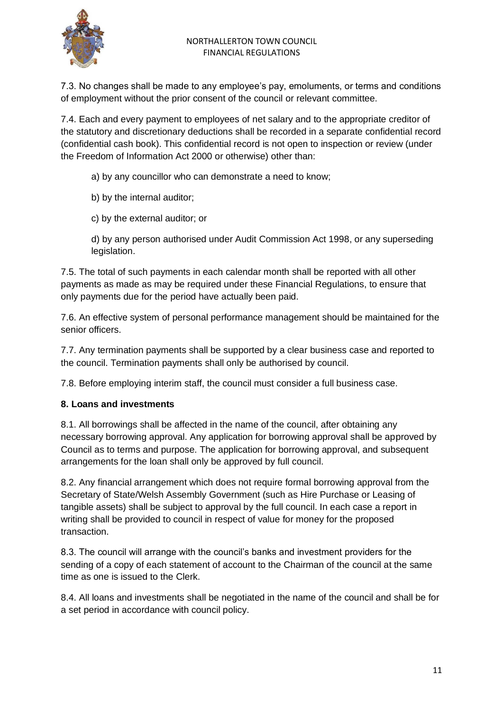7.3. No changes shall be made to any employee's pay, emoluments, or terms and conditions of employment without the prior consent of the council or relevant committee.

7.4. Each and every payment to employees of net salary and to the appropriate creditor of the statutory and discretionary deductions shall be recorded in a separate confidential record (confidential cash book). This confidential record is not open to inspection or review (under the Freedom of Information Act 2000 or otherwise) other than:

a) by any councillor who can demonstrate a need to know;

b) by the internal auditor;

c) by the external auditor; or

d) by any person authorised under Audit Commission Act 1998, or any superseding legislation.

7.5. The total of such payments in each calendar month shall be reported with all other payments as made as may be required under these Financial Regulations, to ensure that only payments due for the period have actually been paid.

7.6. An effective system of personal performance management should be maintained for the senior officers.

7.7. Any termination payments shall be supported by a clear business case and reported to the council. Termination payments shall only be authorised by council.

7.8. Before employing interim staff, the council must consider a full business case.

#### **8. Loans and investments**

8.1. All borrowings shall be affected in the name of the council, after obtaining any necessary borrowing approval. Any application for borrowing approval shall be approved by Council as to terms and purpose. The application for borrowing approval, and subsequent arrangements for the loan shall only be approved by full council.

8.2. Any financial arrangement which does not require formal borrowing approval from the Secretary of State/Welsh Assembly Government (such as Hire Purchase or Leasing of tangible assets) shall be subject to approval by the full council. In each case a report in writing shall be provided to council in respect of value for money for the proposed transaction.

8.3. The council will arrange with the council's banks and investment providers for the sending of a copy of each statement of account to the Chairman of the council at the same time as one is issued to the Clerk.

8.4. All loans and investments shall be negotiated in the name of the council and shall be for a set period in accordance with council policy.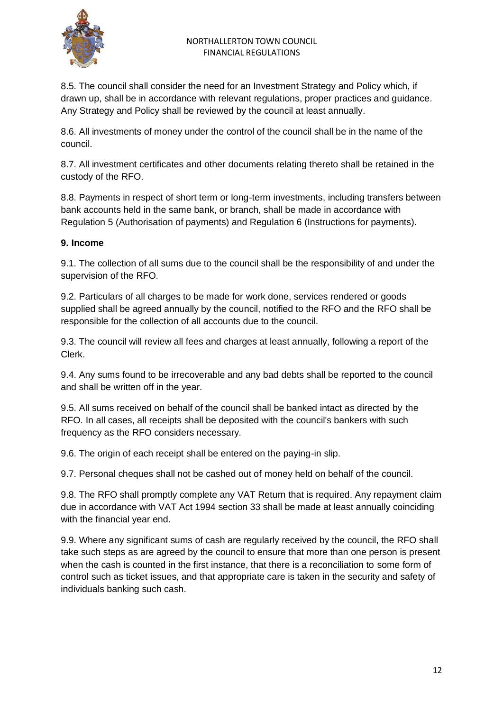

8.5. The council shall consider the need for an Investment Strategy and Policy which, if drawn up, shall be in accordance with relevant regulations, proper practices and guidance. Any Strategy and Policy shall be reviewed by the council at least annually.

8.6. All investments of money under the control of the council shall be in the name of the council.

8.7. All investment certificates and other documents relating thereto shall be retained in the custody of the RFO.

8.8. Payments in respect of short term or long-term investments, including transfers between bank accounts held in the same bank, or branch, shall be made in accordance with Regulation 5 (Authorisation of payments) and Regulation 6 (Instructions for payments).

## **9. Income**

9.1. The collection of all sums due to the council shall be the responsibility of and under the supervision of the RFO.

9.2. Particulars of all charges to be made for work done, services rendered or goods supplied shall be agreed annually by the council, notified to the RFO and the RFO shall be responsible for the collection of all accounts due to the council.

9.3. The council will review all fees and charges at least annually, following a report of the Clerk.

9.4. Any sums found to be irrecoverable and any bad debts shall be reported to the council and shall be written off in the year.

9.5. All sums received on behalf of the council shall be banked intact as directed by the RFO. In all cases, all receipts shall be deposited with the council's bankers with such frequency as the RFO considers necessary.

9.6. The origin of each receipt shall be entered on the paying-in slip.

9.7. Personal cheques shall not be cashed out of money held on behalf of the council.

9.8. The RFO shall promptly complete any VAT Return that is required. Any repayment claim due in accordance with VAT Act 1994 section 33 shall be made at least annually coinciding with the financial year end.

9.9. Where any significant sums of cash are regularly received by the council, the RFO shall take such steps as are agreed by the council to ensure that more than one person is present when the cash is counted in the first instance, that there is a reconciliation to some form of control such as ticket issues, and that appropriate care is taken in the security and safety of individuals banking such cash.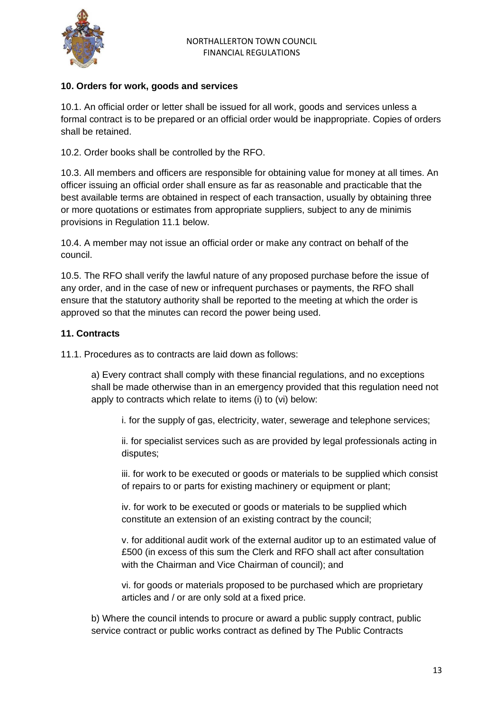

### **10. Orders for work, goods and services**

10.1. An official order or letter shall be issued for all work, goods and services unless a formal contract is to be prepared or an official order would be inappropriate. Copies of orders shall be retained.

10.2. Order books shall be controlled by the RFO.

10.3. All members and officers are responsible for obtaining value for money at all times. An officer issuing an official order shall ensure as far as reasonable and practicable that the best available terms are obtained in respect of each transaction, usually by obtaining three or more quotations or estimates from appropriate suppliers, subject to any de minimis provisions in Regulation 11.1 below.

10.4. A member may not issue an official order or make any contract on behalf of the council.

10.5. The RFO shall verify the lawful nature of any proposed purchase before the issue of any order, and in the case of new or infrequent purchases or payments, the RFO shall ensure that the statutory authority shall be reported to the meeting at which the order is approved so that the minutes can record the power being used.

#### **11. Contracts**

11.1. Procedures as to contracts are laid down as follows:

a) Every contract shall comply with these financial regulations, and no exceptions shall be made otherwise than in an emergency provided that this regulation need not apply to contracts which relate to items (i) to (vi) below:

i. for the supply of gas, electricity, water, sewerage and telephone services;

ii. for specialist services such as are provided by legal professionals acting in disputes;

iii. for work to be executed or goods or materials to be supplied which consist of repairs to or parts for existing machinery or equipment or plant;

iv. for work to be executed or goods or materials to be supplied which constitute an extension of an existing contract by the council;

v. for additional audit work of the external auditor up to an estimated value of £500 (in excess of this sum the Clerk and RFO shall act after consultation with the Chairman and Vice Chairman of council); and

vi. for goods or materials proposed to be purchased which are proprietary articles and / or are only sold at a fixed price.

b) Where the council intends to procure or award a public supply contract, public service contract or public works contract as defined by The Public Contracts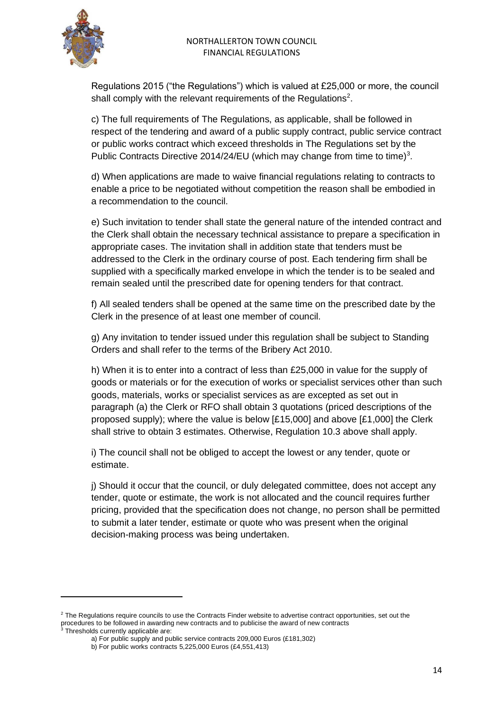

Regulations 2015 ("the Regulations") which is valued at £25,000 or more, the council shall comply with the relevant requirements of the Regulations<sup>2</sup>.

c) The full requirements of The Regulations, as applicable, shall be followed in respect of the tendering and award of a public supply contract, public service contract or public works contract which exceed thresholds in The Regulations set by the Public Contracts Directive 2014/24/EU (which may change from time to time)<sup>3</sup>.

d) When applications are made to waive financial regulations relating to contracts to enable a price to be negotiated without competition the reason shall be embodied in a recommendation to the council.

e) Such invitation to tender shall state the general nature of the intended contract and the Clerk shall obtain the necessary technical assistance to prepare a specification in appropriate cases. The invitation shall in addition state that tenders must be addressed to the Clerk in the ordinary course of post. Each tendering firm shall be supplied with a specifically marked envelope in which the tender is to be sealed and remain sealed until the prescribed date for opening tenders for that contract.

f) All sealed tenders shall be opened at the same time on the prescribed date by the Clerk in the presence of at least one member of council.

g) Any invitation to tender issued under this regulation shall be subject to Standing Orders and shall refer to the terms of the Bribery Act 2010.

h) When it is to enter into a contract of less than £25,000 in value for the supply of goods or materials or for the execution of works or specialist services other than such goods, materials, works or specialist services as are excepted as set out in paragraph (a) the Clerk or RFO shall obtain 3 quotations (priced descriptions of the proposed supply); where the value is below [£15,000] and above [£1,000] the Clerk shall strive to obtain 3 estimates. Otherwise, Regulation 10.3 above shall apply.

i) The council shall not be obliged to accept the lowest or any tender, quote or estimate.

j) Should it occur that the council, or duly delegated committee, does not accept any tender, quote or estimate, the work is not allocated and the council requires further pricing, provided that the specification does not change, no person shall be permitted to submit a later tender, estimate or quote who was present when the original decision-making process was being undertaken.

<sup>&</sup>lt;sup>2</sup> The Regulations require councils to use the Contracts Finder website to advertise contract opportunities, set out the procedures to be followed in awarding new contracts and to publicise the award of new contracts<br>
<sup>3</sup> Threabelds to exclude in awarding new contracts and to publicise the award of new contracts

<sup>&</sup>lt;sup>3</sup> Thresholds currently applicable are:

a) For public supply and public service contracts 209,000 Euros (£181,302)

b) For public works contracts 5,225,000 Euros (£4,551,413)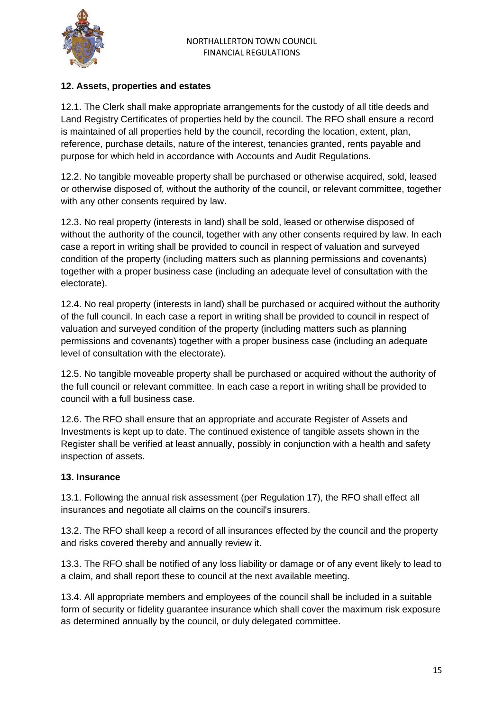

# **12. Assets, properties and estates**

12.1. The Clerk shall make appropriate arrangements for the custody of all title deeds and Land Registry Certificates of properties held by the council. The RFO shall ensure a record is maintained of all properties held by the council, recording the location, extent, plan, reference, purchase details, nature of the interest, tenancies granted, rents payable and purpose for which held in accordance with Accounts and Audit Regulations.

12.2. No tangible moveable property shall be purchased or otherwise acquired, sold, leased or otherwise disposed of, without the authority of the council, or relevant committee, together with any other consents required by law.

12.3. No real property (interests in land) shall be sold, leased or otherwise disposed of without the authority of the council, together with any other consents required by law. In each case a report in writing shall be provided to council in respect of valuation and surveyed condition of the property (including matters such as planning permissions and covenants) together with a proper business case (including an adequate level of consultation with the electorate).

12.4. No real property (interests in land) shall be purchased or acquired without the authority of the full council. In each case a report in writing shall be provided to council in respect of valuation and surveyed condition of the property (including matters such as planning permissions and covenants) together with a proper business case (including an adequate level of consultation with the electorate).

12.5. No tangible moveable property shall be purchased or acquired without the authority of the full council or relevant committee. In each case a report in writing shall be provided to council with a full business case.

12.6. The RFO shall ensure that an appropriate and accurate Register of Assets and Investments is kept up to date. The continued existence of tangible assets shown in the Register shall be verified at least annually, possibly in conjunction with a health and safety inspection of assets.

# **13. Insurance**

13.1. Following the annual risk assessment (per Regulation 17), the RFO shall effect all insurances and negotiate all claims on the council's insurers.

13.2. The RFO shall keep a record of all insurances effected by the council and the property and risks covered thereby and annually review it.

13.3. The RFO shall be notified of any loss liability or damage or of any event likely to lead to a claim, and shall report these to council at the next available meeting.

13.4. All appropriate members and employees of the council shall be included in a suitable form of security or fidelity guarantee insurance which shall cover the maximum risk exposure as determined annually by the council, or duly delegated committee.